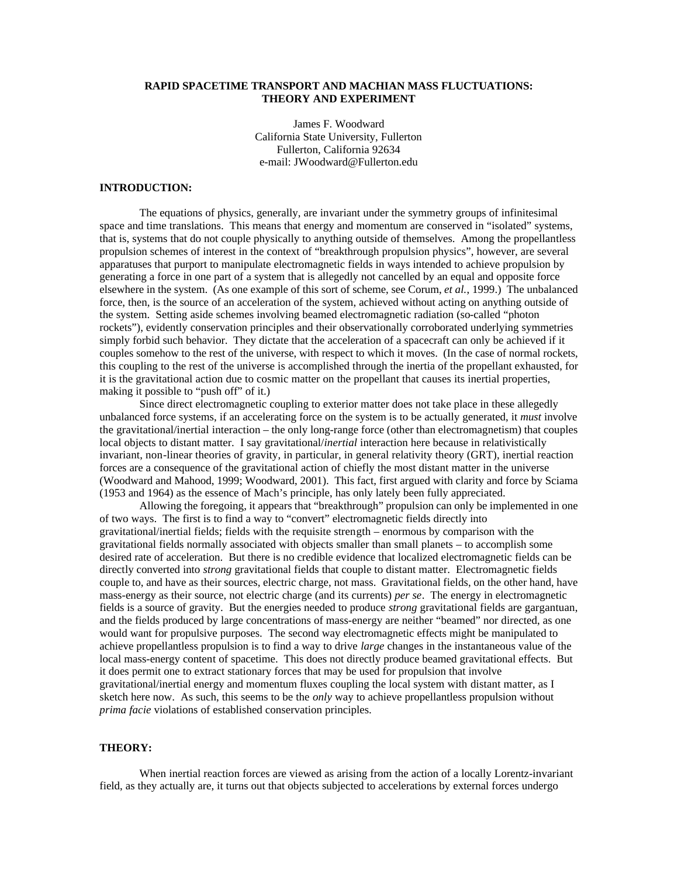## **RAPID SPACETIME TRANSPORT AND MACHIAN MASS FLUCTUATIONS: THEORY AND EXPERIMENT**

James F. Woodward California State University, Fullerton Fullerton, California 92634 e-mail: JWoodward@Fullerton.edu

## **INTRODUCTION:**

The equations of physics, generally, are invariant under the symmetry groups of infinitesimal space and time translations. This means that energy and momentum are conserved in "isolated" systems, that is, systems that do not couple physically to anything outside of themselves. Among the propellantless propulsion schemes of interest in the context of "breakthrough propulsion physics", however, are several apparatuses that purport to manipulate electromagnetic fields in ways intended to achieve propulsion by generating a force in one part of a system that is allegedly not cancelled by an equal and opposite force elsewhere in the system. (As one example of this sort of scheme, see Corum, *et al.*, 1999.) The unbalanced force, then, is the source of an acceleration of the system, achieved without acting on anything outside of the system. Setting aside schemes involving beamed electromagnetic radiation (so-called "photon rockets"), evidently conservation principles and their observationally corroborated underlying symmetries simply forbid such behavior. They dictate that the acceleration of a spacecraft can only be achieved if it couples somehow to the rest of the universe, with respect to which it moves. (In the case of normal rockets, this coupling to the rest of the universe is accomplished through the inertia of the propellant exhausted, for it is the gravitational action due to cosmic matter on the propellant that causes its inertial properties, making it possible to "push off" of it.)

Since direct electromagnetic coupling to exterior matter does not take place in these allegedly unbalanced force systems, if an accelerating force on the system is to be actually generated, it *must* involve the gravitational/inertial interaction – the only long-range force (other than electromagnetism) that couples local objects to distant matter. I say gravitational/*inertial* interaction here because in relativistically invariant, non-linear theories of gravity, in particular, in general relativity theory (GRT), inertial reaction forces are a consequence of the gravitational action of chiefly the most distant matter in the universe (Woodward and Mahood, 1999; Woodward, 2001). This fact, first argued with clarity and force by Sciama (1953 and 1964) as the essence of Mach's principle, has only lately been fully appreciated.

Allowing the foregoing, it appears that "breakthrough" propulsion can only be implemented in one of two ways. The first is to find a way to "convert" electromagnetic fields directly into gravitational/inertial fields; fields with the requisite strength – enormous by comparison with the gravitational fields normally associated with objects smaller than small planets – to accomplish some desired rate of acceleration. But there is no credible evidence that localized electromagnetic fields can be directly converted into *strong* gravitational fields that couple to distant matter. Electromagnetic fields couple to, and have as their sources, electric charge, not mass. Gravitational fields, on the other hand, have mass-energy as their source, not electric charge (and its currents) *per se*. The energy in electromagnetic fields is a source of gravity. But the energies needed to produce *strong* gravitational fields are gargantuan, and the fields produced by large concentrations of mass-energy are neither "beamed" nor directed, as one would want for propulsive purposes. The second way electromagnetic effects might be manipulated to achieve propellantless propulsion is to find a way to drive *large* changes in the instantaneous value of the local mass-energy content of spacetime. This does not directly produce beamed gravitational effects. But it does permit one to extract stationary forces that may be used for propulsion that involve gravitational/inertial energy and momentum fluxes coupling the local system with distant matter, as I sketch here now. As such, this seems to be the *only* way to achieve propellantless propulsion without *prima facie* violations of established conservation principles.

### **THEORY:**

When inertial reaction forces are viewed as arising from the action of a locally Lorentz-invariant field, as they actually are, it turns out that objects subjected to accelerations by external forces undergo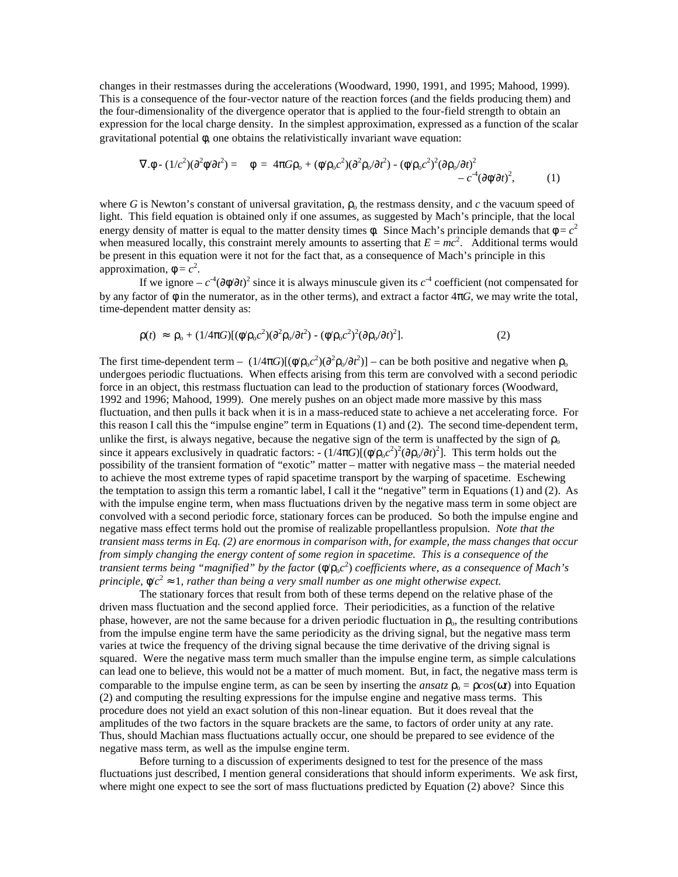changes in their restmasses during the accelerations (Woodward, 1990, 1991, and 1995; Mahood, 1999). This is a consequence of the four-vector nature of the reaction forces (and the fields producing them) and the four-dimensionality of the divergence operator that is applied to the four-field strength to obtain an expression for the local charge density. In the simplest approximation, expressed as a function of the scalar gravitational potential φ, one obtains the relativistically invariant wave equation:

$$
\nabla \cdot \phi - (1/c^2)(\partial^2 \phi/\partial t^2) = \ddot{y} \phi = 4\pi G \rho_o + (\phi/\rho_o c^2)(\partial^2 \rho_o/\partial t^2) - (\phi/\rho_o c^2)^2 (\partial \rho_o/\partial t)^2 - c^4 (\partial \phi/\partial t)^2,
$$
(1)

where *G* is Newton's constant of universal gravitation,  $\rho_0$  the restmass density, and *c* the vacuum speed of light. This field equation is obtained only if one assumes, as suggested by Mach's principle, that the local energy density of matter is equal to the matter density times  $\phi$ . Since Mach's principle demands that  $\phi = c^2$ when measured locally, this constraint merely amounts to asserting that  $E = mc^2$ . Additional terms would be present in this equation were it not for the fact that, as a consequence of Mach's principle in this approximation,  $\phi = c^2$ .

If we ignore –  $c^4$ (∂φ/∂*t*)<sup>2</sup> since it is always minuscule given its  $c^4$  coefficient (not compensated for by any factor of  $\phi$  in the numerator, as in the other terms), and extract a factor  $4\pi G$ , we may write the total, time-dependent matter density as:

$$
\rho(t) \approx \rho_0 + (1/4\pi G)[(\phi/\rho_0 c^2)(\partial^2 \rho_0/\partial t^2) - (\phi/\rho_0 c^2)^2(\partial \rho_0/\partial t)^2].
$$
\n(2)

The first time-dependent term –  $(1/4\pi G)[(\phi/\rho_o c^2)(\partial^2 \rho_o/\partial t^2)]$  – can be both positive and negative when  $\rho_o$ undergoes periodic fluctuations. When effects arising from this term are convolved with a second periodic force in an object, this restmass fluctuation can lead to the production of stationary forces (Woodward, 1992 and 1996; Mahood, 1999). One merely pushes on an object made more massive by this mass fluctuation, and then pulls it back when it is in a mass-reduced state to achieve a net accelerating force. For this reason I call this the "impulse engine" term in Equations (1) and (2). The second time-dependent term, unlike the first, is always negative, because the negative sign of the term is unaffected by the sign of  $\rho_0$ since it appears exclusively in quadratic factors:  $-(1/4\pi G)[(\phi/\rho_0 c^2)^2(\partial \rho_0/\partial t)^2]$ . This term holds out the possibility of the transient formation of "exotic" matter – matter with negative mass – the material needed to achieve the most extreme types of rapid spacetime transport by the warping of spacetime. Eschewing the temptation to assign this term a romantic label, I call it the "negative" term in Equations (1) and (2). As with the impulse engine term, when mass fluctuations driven by the negative mass term in some object are convolved with a second periodic force, stationary forces can be produced. So both the impulse engine and negative mass effect terms hold out the promise of realizable propellantless propulsion. *Note that the transient mass terms in Eq. (2) are enormous in comparison with, for example, the mass changes that occur from simply changing the energy content of some region in spacetime. This is a consequence of the*  transient terms being "magnified" by the factor (ψ/ρ<sub>ο</sub>c<sup>2</sup>) coefficients where, as a consequence of Mach's *principle,*  $\phi/c^2 \approx 1$ , *rather than being a very small number as one might otherwise expect.* 

The stationary forces that result from both of these terms depend on the relative phase of the driven mass fluctuation and the second applied force. Their periodicities, as a function of the relative phase, however, are not the same because for a driven periodic fluctuation in  $\rho_0$ , the resulting contributions from the impulse engine term have the same periodicity as the driving signal, but the negative mass term varies at twice the frequency of the driving signal because the time derivative of the driving signal is squared. Were the negative mass term much smaller than the impulse engine term, as simple calculations can lead one to believe, this would not be a matter of much moment. But, in fact, the negative mass term is comparable to the impulse engine term, as can be seen by inserting the *ansatz*  $\rho_0 = \rho cos(\omega t)$  into Equation (2) and computing the resulting expressions for the impulse engine and negative mass terms. This procedure does not yield an exact solution of this non-linear equation. But it does reveal that the amplitudes of the two factors in the square brackets are the same, to factors of order unity at any rate. Thus, should Machian mass fluctuations actually occur, one should be prepared to see evidence of the negative mass term, as well as the impulse engine term.

Before turning to a discussion of experiments designed to test for the presence of the mass fluctuations just described, I mention general considerations that should inform experiments. We ask first, where might one expect to see the sort of mass fluctuations predicted by Equation (2) above? Since this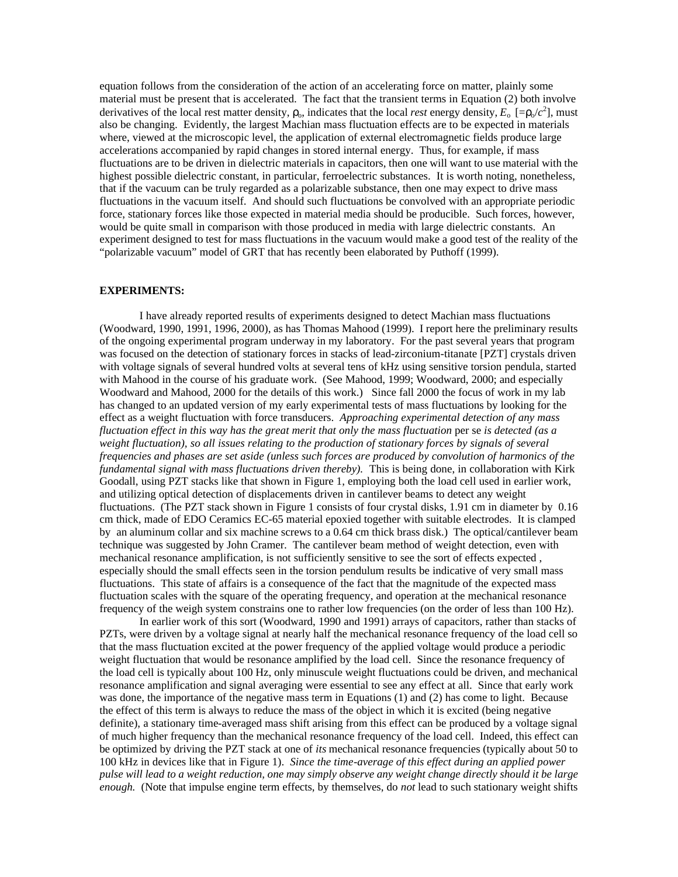equation follows from the consideration of the action of an accelerating force on matter, plainly some material must be present that is accelerated. The fact that the transient terms in Equation (2) both involve derivatives of the local rest matter density,  $\rho_0$ , indicates that the local *rest* energy density,  $E_0$  [= $\rho_0/c^2$ ], must also be changing. Evidently, the largest Machian mass fluctuation effects are to be expected in materials where, viewed at the microscopic level, the application of external electromagnetic fields produce large accelerations accompanied by rapid changes in stored internal energy. Thus, for example, if mass fluctuations are to be driven in dielectric materials in capacitors, then one will want to use material with the highest possible dielectric constant, in particular, ferroelectric substances. It is worth noting, nonetheless, that if the vacuum can be truly regarded as a polarizable substance, then one may expect to drive mass fluctuations in the vacuum itself. And should such fluctuations be convolved with an appropriate periodic force, stationary forces like those expected in material media should be producible. Such forces, however, would be quite small in comparison with those produced in media with large dielectric constants. An experiment designed to test for mass fluctuations in the vacuum would make a good test of the reality of the "polarizable vacuum" model of GRT that has recently been elaborated by Puthoff (1999).

### **EXPERIMENTS:**

I have already reported results of experiments designed to detect Machian mass fluctuations (Woodward, 1990, 1991, 1996, 2000), as has Thomas Mahood (1999). I report here the preliminary results of the ongoing experimental program underway in my laboratory. For the past several years that program was focused on the detection of stationary forces in stacks of lead-zirconium-titanate [PZT] crystals driven with voltage signals of several hundred volts at several tens of kHz using sensitive torsion pendula, started with Mahood in the course of his graduate work. (See Mahood, 1999; Woodward, 2000; and especially Woodward and Mahood, 2000 for the details of this work.) Since fall 2000 the focus of work in my lab has changed to an updated version of my early experimental tests of mass fluctuations by looking for the effect as a weight fluctuation with force transducers. *Approaching experimental detection of any mass fluctuation effect in this way has the great merit that only the mass fluctuation* per se *is detected (as a weight fluctuation), so all issues relating to the production of stationary forces by signals of several frequencies and phases are set aside (unless such forces are produced by convolution of harmonics of the fundamental signal with mass fluctuations driven thereby).* This is being done, in collaboration with Kirk Goodall, using PZT stacks like that shown in Figure 1, employing both the load cell used in earlier work, and utilizing optical detection of displacements driven in cantilever beams to detect any weight fluctuations. (The PZT stack shown in Figure 1 consists of four crystal disks, 1.91 cm in diameter by 0.16 cm thick, made of EDO Ceramics EC-65 material epoxied together with suitable electrodes. It is clamped by an aluminum collar and six machine screws to a 0.64 cm thick brass disk.) The optical/cantilever beam technique was suggested by John Cramer. The cantilever beam method of weight detection, even with mechanical resonance amplification, is not sufficiently sensitive to see the sort of effects expected , especially should the small effects seen in the torsion pendulum results be indicative of very small mass fluctuations. This state of affairs is a consequence of the fact that the magnitude of the expected mass fluctuation scales with the square of the operating frequency, and operation at the mechanical resonance frequency of the weigh system constrains one to rather low frequencies (on the order of less than 100 Hz).

In earlier work of this sort (Woodward, 1990 and 1991) arrays of capacitors, rather than stacks of PZTs, were driven by a voltage signal at nearly half the mechanical resonance frequency of the load cell so that the mass fluctuation excited at the power frequency of the applied voltage would produce a periodic weight fluctuation that would be resonance amplified by the load cell. Since the resonance frequency of the load cell is typically about 100 Hz, only minuscule weight fluctuations could be driven, and mechanical resonance amplification and signal averaging were essential to see any effect at all. Since that early work was done, the importance of the negative mass term in Equations (1) and (2) has come to light. Because the effect of this term is always to reduce the mass of the object in which it is excited (being negative definite), a stationary time-averaged mass shift arising from this effect can be produced by a voltage signal of much higher frequency than the mechanical resonance frequency of the load cell. Indeed, this effect can be optimized by driving the PZT stack at one of *its* mechanical resonance frequencies (typically about 50 to 100 kHz in devices like that in Figure 1). *Since the time-average of this effect during an applied power pulse will lead to a weight reduction, one may simply observe any weight change directly should it be large enough.* (Note that impulse engine term effects, by themselves, do *not* lead to such stationary weight shifts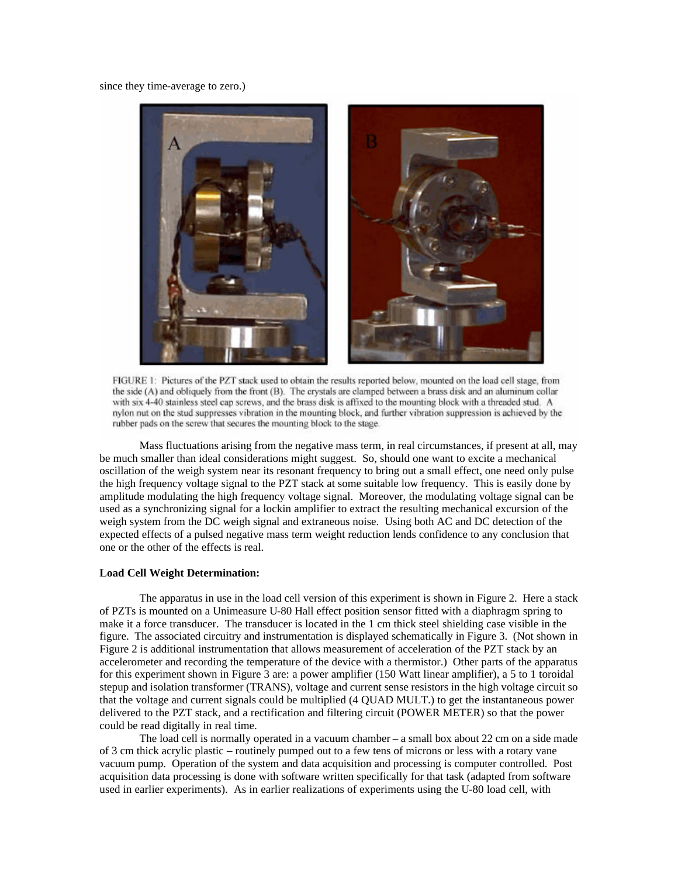since they time-average to zero.)



FIGURE 1: Pictures of the PZT stack used to obtain the results reported below, mounted on the load cell stage, from the side (A) and obliquely from the front (B). The crystals are clamped between a brass disk and an aluminum collar with six 4-40 stainless steel cap screws, and the brass disk is affixed to the mounting block with a threaded stud. A nylon nut on the stud suppresses vibration in the mounting block, and further vibration suppression is achieved by the rubber pads on the screw that secures the mounting block to the stage.

Mass fluctuations arising from the negative mass term, in real circumstances, if present at all, may be much smaller than ideal considerations might suggest. So, should one want to excite a mechanical oscillation of the weigh system near its resonant frequency to bring out a small effect, one need only pulse the high frequency voltage signal to the PZT stack at some suitable low frequency. This is easily done by amplitude modulating the high frequency voltage signal. Moreover, the modulating voltage signal can be used as a synchronizing signal for a lockin amplifier to extract the resulting mechanical excursion of the weigh system from the DC weigh signal and extraneous noise. Using both AC and DC detection of the expected effects of a pulsed negative mass term weight reduction lends confidence to any conclusion that one or the other of the effects is real.

### **Load Cell Weight Determination:**

The apparatus in use in the load cell version of this experiment is shown in Figure 2. Here a stack of PZTs is mounted on a Unimeasure U-80 Hall effect position sensor fitted with a diaphragm spring to make it a force transducer. The transducer is located in the 1 cm thick steel shielding case visible in the figure. The associated circuitry and instrumentation is displayed schematically in Figure 3. (Not shown in Figure 2 is additional instrumentation that allows measurement of acceleration of the PZT stack by an accelerometer and recording the temperature of the device with a thermistor.) Other parts of the apparatus for this experiment shown in Figure 3 are: a power amplifier (150 Watt linear amplifier), a 5 to 1 toroidal stepup and isolation transformer (TRANS), voltage and current sense resistors in the high voltage circuit so that the voltage and current signals could be multiplied (4 QUAD MULT.) to get the instantaneous power delivered to the PZT stack, and a rectification and filtering circuit (POWER METER) so that the power could be read digitally in real time.

The load cell is normally operated in a vacuum chamber – a small box about 22 cm on a side made of 3 cm thick acrylic plastic – routinely pumped out to a few tens of microns or less with a rotary vane vacuum pump. Operation of the system and data acquisition and processing is computer controlled. Post acquisition data processing is done with software written specifically for that task (adapted from software used in earlier experiments). As in earlier realizations of experiments using the U-80 load cell, with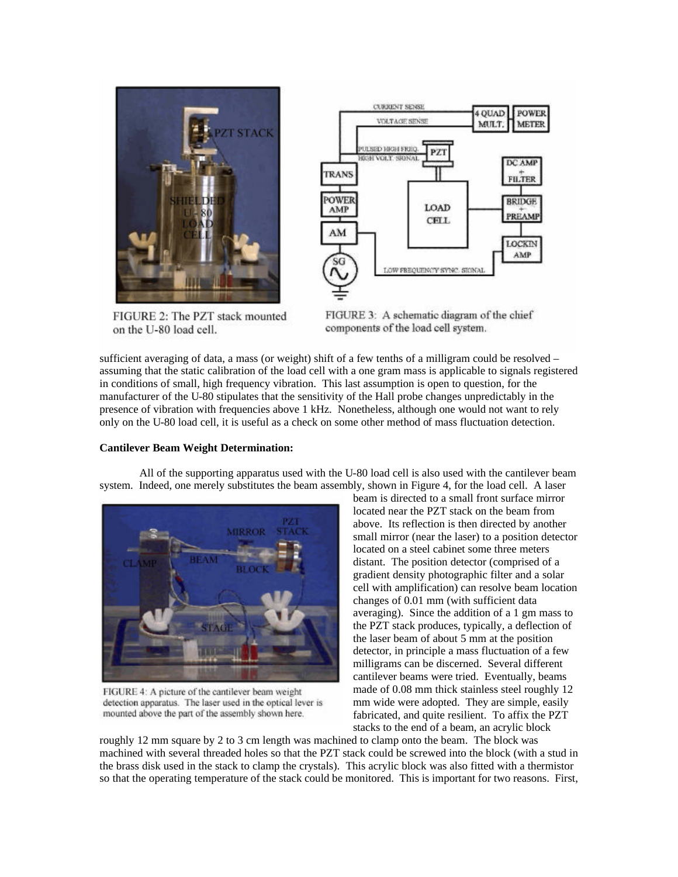

FIGURE 2: The PZT stack mounted on the U-80 load cell.



FIGURE 3: A schematic diagram of the chief components of the load cell system.

sufficient averaging of data, a mass (or weight) shift of a few tenths of a milligram could be resolved – assuming that the static calibration of the load cell with a one gram mass is applicable to signals registered in conditions of small, high frequency vibration. This last assumption is open to question, for the manufacturer of the U-80 stipulates that the sensitivity of the Hall probe changes unpredictably in the presence of vibration with frequencies above 1 kHz. Nonetheless, although one would not want to rely only on the U-80 load cell, it is useful as a check on some other method of mass fluctuation detection.

### **Cantilever Beam Weight Determination:**

All of the supporting apparatus used with the U-80 load cell is also used with the cantilever beam system. Indeed, one merely substitutes the beam assembly, shown in Figure 4, for the load cell. A laser



FIGURE 4: A picture of the cantilever beam weight detection apparatus. The laser used in the optical lever is mounted above the part of the assembly shown here.

beam is directed to a small front surface mirror located near the PZT stack on the beam from above. Its reflection is then directed by another small mirror (near the laser) to a position detector located on a steel cabinet some three meters distant. The position detector (comprised of a gradient density photographic filter and a solar cell with amplification) can resolve beam location changes of 0.01 mm (with sufficient data averaging). Since the addition of a 1 gm mass to the PZT stack produces, typically, a deflection of the laser beam of about 5 mm at the position detector, in principle a mass fluctuation of a few milligrams can be discerned. Several different cantilever beams were tried. Eventually, beams made of 0.08 mm thick stainless steel roughly 12 mm wide were adopted. They are simple, easily fabricated, and quite resilient. To affix the PZT stacks to the end of a beam, an acrylic block

roughly 12 mm square by 2 to 3 cm length was machined to clamp onto the beam. The block was machined with several threaded holes so that the PZT stack could be screwed into the block (with a stud in the brass disk used in the stack to clamp the crystals). This acrylic block was also fitted with a thermistor so that the operating temperature of the stack could be monitored. This is important for two reasons. First,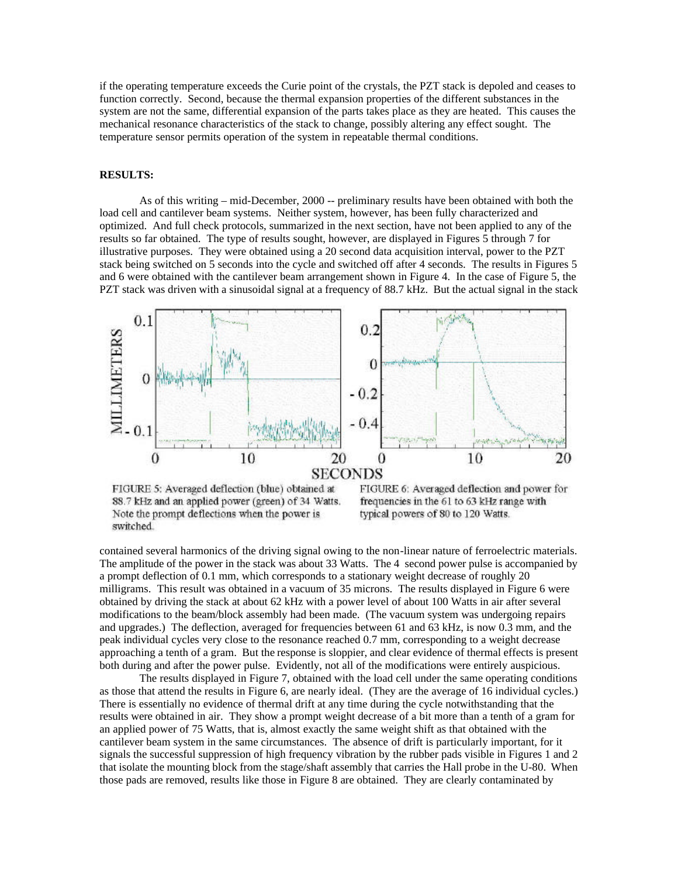if the operating temperature exceeds the Curie point of the crystals, the PZT stack is depoled and ceases to function correctly. Second, because the thermal expansion properties of the different substances in the system are not the same, differential expansion of the parts takes place as they are heated. This causes the mechanical resonance characteristics of the stack to change, possibly altering any effect sought. The temperature sensor permits operation of the system in repeatable thermal conditions.

#### **RESULTS:**

As of this writing – mid-December, 2000 -- preliminary results have been obtained with both the load cell and cantilever beam systems. Neither system, however, has been fully characterized and optimized. And full check protocols, summarized in the next section, have not been applied to any of the results so far obtained. The type of results sought, however, are displayed in Figures 5 through 7 for illustrative purposes. They were obtained using a 20 second data acquisition interval, power to the PZT stack being switched on 5 seconds into the cycle and switched off after 4 seconds. The results in Figures 5 and 6 were obtained with the cantilever beam arrangement shown in Figure 4. In the case of Figure 5, the PZT stack was driven with a sinusoidal signal at a frequency of 88.7 kHz. But the actual signal in the stack



FIGURE 5: Averaged deflection (blue) obtained at 88.7 kHz and an applied power (green) of 34 Watts. Note the prompt deflections when the power is switched.

FIGURE 6: Averaged deflection and power for frequencies in the 61 to 63 kHz range with typical powers of 80 to 120 Watts.

contained several harmonics of the driving signal owing to the non-linear nature of ferroelectric materials. The amplitude of the power in the stack was about 33 Watts. The 4 second power pulse is accompanied by a prompt deflection of 0.1 mm, which corresponds to a stationary weight decrease of roughly 20 milligrams. This result was obtained in a vacuum of 35 microns. The results displayed in Figure 6 were obtained by driving the stack at about 62 kHz with a power level of about 100 Watts in air after several modifications to the beam/block assembly had been made. (The vacuum system was undergoing repairs and upgrades.) The deflection, averaged for frequencies between 61 and 63 kHz, is now 0.3 mm, and the peak individual cycles very close to the resonance reached 0.7 mm, corresponding to a weight decrease approaching a tenth of a gram. But the response is sloppier, and clear evidence of thermal effects is present both during and after the power pulse. Evidently, not all of the modifications were entirely auspicious.

The results displayed in Figure 7, obtained with the load cell under the same operating conditions as those that attend the results in Figure 6, are nearly ideal. (They are the average of 16 individual cycles.) There is essentially no evidence of thermal drift at any time during the cycle notwithstanding that the results were obtained in air. They show a prompt weight decrease of a bit more than a tenth of a gram for an applied power of 75 Watts, that is, almost exactly the same weight shift as that obtained with the cantilever beam system in the same circumstances. The absence of drift is particularly important, for it signals the successful suppression of high frequency vibration by the rubber pads visible in Figures 1 and 2 that isolate the mounting block from the stage/shaft assembly that carries the Hall probe in the U-80. When those pads are removed, results like those in Figure 8 are obtained. They are clearly contaminated by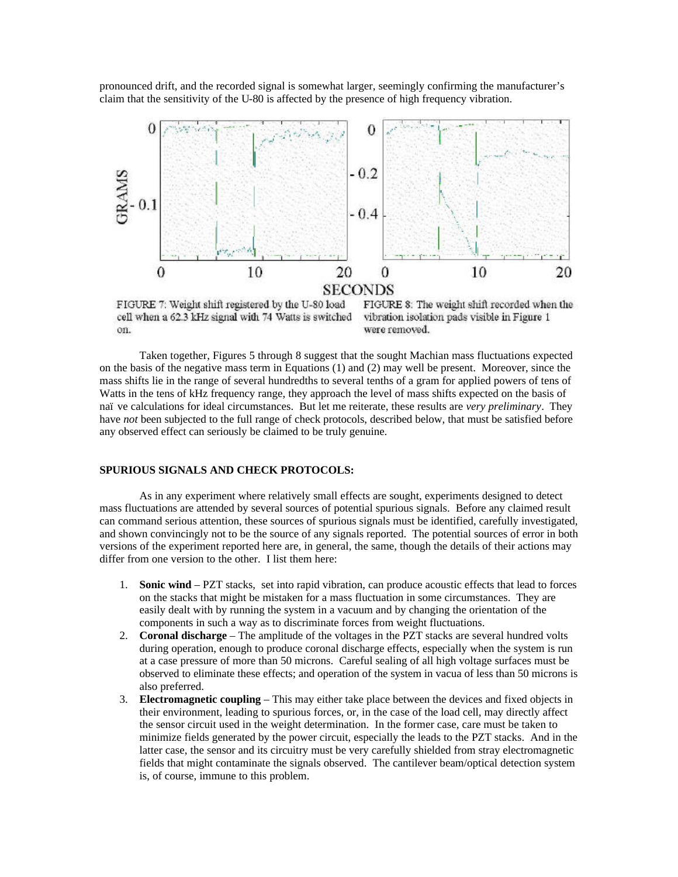pronounced drift, and the recorded signal is somewhat larger, seemingly confirming the manufacturer's claim that the sensitivity of the U-80 is affected by the presence of high frequency vibration.



FIGURE 7: Weight shift registered by the U-80 load cell when a 62.3 kHz signal with 74 Watts is switched on.

FIGURE 8: The weight shift recorded when the vibration isolation pads visible in Figure 1 were removed.

Taken together, Figures 5 through 8 suggest that the sought Machian mass fluctuations expected on the basis of the negative mass term in Equations (1) and (2) may well be present. Moreover, since the mass shifts lie in the range of several hundredths to several tenths of a gram for applied powers of tens of Watts in the tens of kHz frequency range, they approach the level of mass shifts expected on the basis of naïve calculations for ideal circumstances. But let me reiterate, these results are *very preliminary*. They have *not* been subjected to the full range of check protocols, described below, that must be satisfied before any observed effect can seriously be claimed to be truly genuine.

#### **SPURIOUS SIGNALS AND CHECK PROTOCOLS:**

As in any experiment where relatively small effects are sought, experiments designed to detect mass fluctuations are attended by several sources of potential spurious signals. Before any claimed result can command serious attention, these sources of spurious signals must be identified, carefully investigated, and shown convincingly not to be the source of any signals reported. The potential sources of error in both versions of the experiment reported here are, in general, the same, though the details of their actions may differ from one version to the other. I list them here:

- 1. **Sonic wind** PZT stacks, set into rapid vibration, can produce acoustic effects that lead to forces on the stacks that might be mistaken for a mass fluctuation in some circumstances. They are easily dealt with by running the system in a vacuum and by changing the orientation of the components in such a way as to discriminate forces from weight fluctuations.
- 2. **Coronal discharge** The amplitude of the voltages in the PZT stacks are several hundred volts during operation, enough to produce coronal discharge effects, especially when the system is run at a case pressure of more than 50 microns. Careful sealing of all high voltage surfaces must be observed to eliminate these effects; and operation of the system in vacua of less than 50 microns is also preferred.
- 3. **Electromagnetic coupling** This may either take place between the devices and fixed objects in their environment, leading to spurious forces, or, in the case of the load cell, may directly affect the sensor circuit used in the weight determination. In the former case, care must be taken to minimize fields generated by the power circuit, especially the leads to the PZT stacks. And in the latter case, the sensor and its circuitry must be very carefully shielded from stray electromagnetic fields that might contaminate the signals observed. The cantilever beam/optical detection system is, of course, immune to this problem.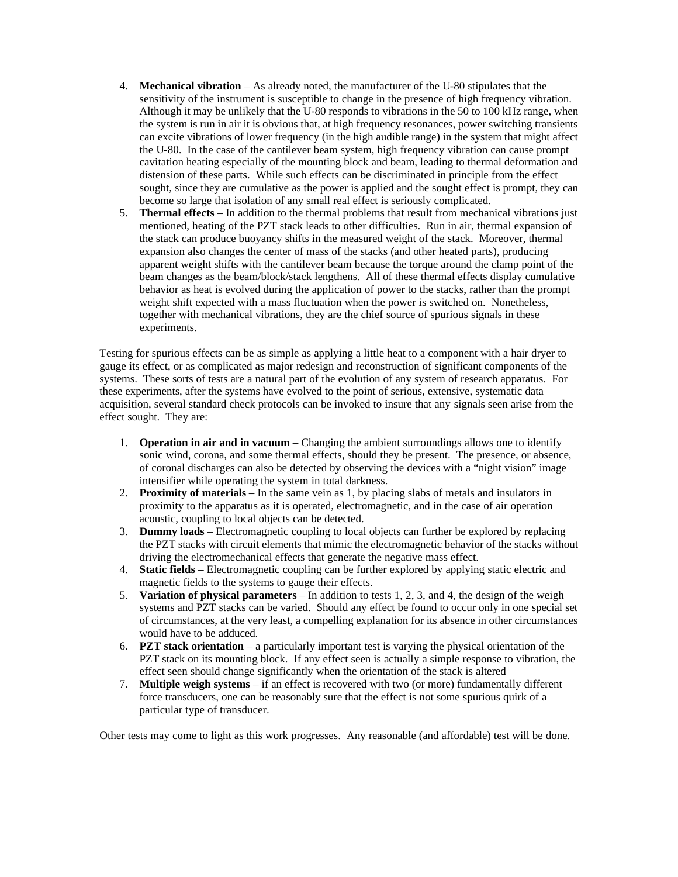- 4. **Mechanical vibration** As already noted, the manufacturer of the U-80 stipulates that the sensitivity of the instrument is susceptible to change in the presence of high frequency vibration. Although it may be unlikely that the U-80 responds to vibrations in the 50 to 100 kHz range, when the system is run in air it is obvious that, at high frequency resonances, power switching transients can excite vibrations of lower frequency (in the high audible range) in the system that might affect the U-80. In the case of the cantilever beam system, high frequency vibration can cause prompt cavitation heating especially of the mounting block and beam, leading to thermal deformation and distension of these parts. While such effects can be discriminated in principle from the effect sought, since they are cumulative as the power is applied and the sought effect is prompt, they can become so large that isolation of any small real effect is seriously complicated.
- 5. **Thermal effects** In addition to the thermal problems that result from mechanical vibrations just mentioned, heating of the PZT stack leads to other difficulties. Run in air, thermal expansion of the stack can produce buoyancy shifts in the measured weight of the stack. Moreover, thermal expansion also changes the center of mass of the stacks (and other heated parts), producing apparent weight shifts with the cantilever beam because the torque around the clamp point of the beam changes as the beam/block/stack lengthens. All of these thermal effects display cumulative behavior as heat is evolved during the application of power to the stacks, rather than the prompt weight shift expected with a mass fluctuation when the power is switched on. Nonetheless, together with mechanical vibrations, they are the chief source of spurious signals in these experiments.

Testing for spurious effects can be as simple as applying a little heat to a component with a hair dryer to gauge its effect, or as complicated as major redesign and reconstruction of significant components of the systems. These sorts of tests are a natural part of the evolution of any system of research apparatus. For these experiments, after the systems have evolved to the point of serious, extensive, systematic data acquisition, several standard check protocols can be invoked to insure that any signals seen arise from the effect sought. They are:

- 1. **Operation in air and in vacuum** Changing the ambient surroundings allows one to identify sonic wind, corona, and some thermal effects, should they be present. The presence, or absence, of coronal discharges can also be detected by observing the devices with a "night vision" image intensifier while operating the system in total darkness.
- 2. **Proximity of materials** In the same vein as 1, by placing slabs of metals and insulators in proximity to the apparatus as it is operated, electromagnetic, and in the case of air operation acoustic, coupling to local objects can be detected.
- 3. **Dummy loads** Electromagnetic coupling to local objects can further be explored by replacing the PZT stacks with circuit elements that mimic the electromagnetic behavior of the stacks without driving the electromechanical effects that generate the negative mass effect.
- 4. **Static fields** Electromagnetic coupling can be further explored by applying static electric and magnetic fields to the systems to gauge their effects.
- 5. **Variation of physical parameters** In addition to tests 1, 2, 3, and 4, the design of the weigh systems and PZT stacks can be varied. Should any effect be found to occur only in one special set of circumstances, at the very least, a compelling explanation for its absence in other circumstances would have to be adduced.
- 6. **PZT stack orientation** a particularly important test is varying the physical orientation of the PZT stack on its mounting block. If any effect seen is actually a simple response to vibration, the effect seen should change significantly when the orientation of the stack is altered
- 7. **Multiple weigh systems** if an effect is recovered with two (or more) fundamentally different force transducers, one can be reasonably sure that the effect is not some spurious quirk of a particular type of transducer.

Other tests may come to light as this work progresses. Any reasonable (and affordable) test will be done.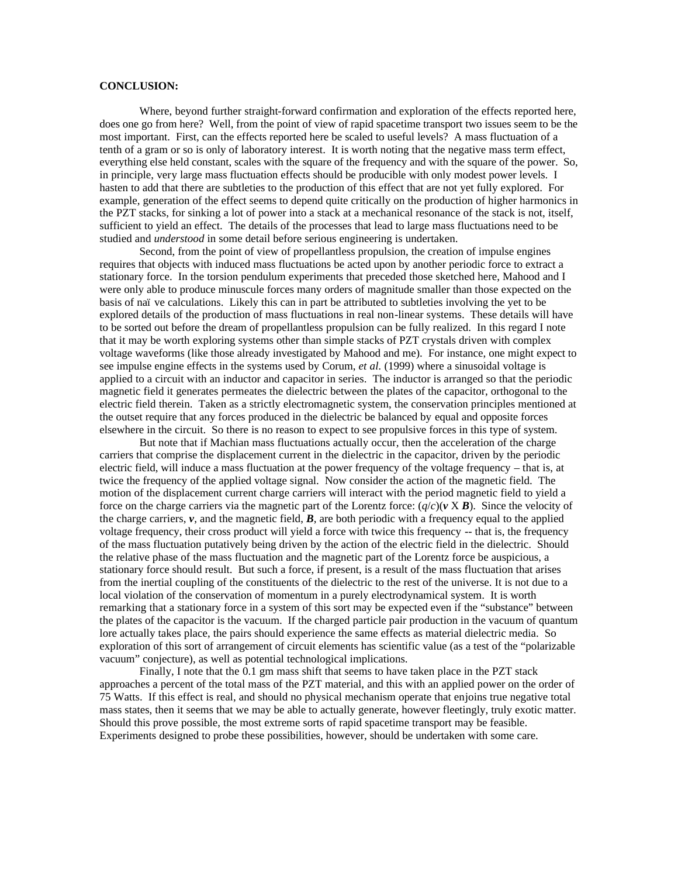## **CONCLUSION:**

Where, beyond further straight-forward confirmation and exploration of the effects reported here, does one go from here? Well, from the point of view of rapid spacetime transport two issues seem to be the most important. First, can the effects reported here be scaled to useful levels? A mass fluctuation of a tenth of a gram or so is only of laboratory interest. It is worth noting that the negative mass term effect, everything else held constant, scales with the square of the frequency and with the square of the power. So, in principle, very large mass fluctuation effects should be producible with only modest power levels. I hasten to add that there are subtleties to the production of this effect that are not yet fully explored. For example, generation of the effect seems to depend quite critically on the production of higher harmonics in the PZT stacks, for sinking a lot of power into a stack at a mechanical resonance of the stack is not, itself, sufficient to yield an effect. The details of the processes that lead to large mass fluctuations need to be studied and *understood* in some detail before serious engineering is undertaken.

Second, from the point of view of propellantless propulsion, the creation of impulse engines requires that objects with induced mass fluctuations be acted upon by another periodic force to extract a stationary force. In the torsion pendulum experiments that preceded those sketched here, Mahood and I were only able to produce minuscule forces many orders of magnitude smaller than those expected on the basis of naïve calculations. Likely this can in part be attributed to subtleties involving the yet to be explored details of the production of mass fluctuations in real non-linear systems. These details will have to be sorted out before the dream of propellantless propulsion can be fully realized. In this regard I note that it may be worth exploring systems other than simple stacks of PZT crystals driven with complex voltage waveforms (like those already investigated by Mahood and me). For instance, one might expect to see impulse engine effects in the systems used by Corum, *et al.* (1999) where a sinusoidal voltage is applied to a circuit with an inductor and capacitor in series. The inductor is arranged so that the periodic magnetic field it generates permeates the dielectric between the plates of the capacitor, orthogonal to the electric field therein. Taken as a strictly electromagnetic system, the conservation principles mentioned at the outset require that any forces produced in the dielectric be balanced by equal and opposite forces elsewhere in the circuit. So there is no reason to expect to see propulsive forces in this type of system.

But note that if Machian mass fluctuations actually occur, then the acceleration of the charge carriers that comprise the displacement current in the dielectric in the capacitor, driven by the periodic electric field, will induce a mass fluctuation at the power frequency of the voltage frequency – that is, at twice the frequency of the applied voltage signal. Now consider the action of the magnetic field. The motion of the displacement current charge carriers will interact with the period magnetic field to yield a force on the charge carriers via the magnetic part of the Lorentz force:  $(q/c)(v \times B)$ . Since the velocity of the charge carriers,  $v$ , and the magnetic field,  $\bm{B}$ , are both periodic with a frequency equal to the applied voltage frequency, their cross product will yield a force with twice this frequency -- that is, the frequency of the mass fluctuation putatively being driven by the action of the electric field in the dielectric. Should the relative phase of the mass fluctuation and the magnetic part of the Lorentz force be auspicious, a stationary force should result. But such a force, if present, is a result of the mass fluctuation that arises from the inertial coupling of the constituents of the dielectric to the rest of the universe. It is not due to a local violation of the conservation of momentum in a purely electrodynamical system. It is worth remarking that a stationary force in a system of this sort may be expected even if the "substance" between the plates of the capacitor is the vacuum. If the charged particle pair production in the vacuum of quantum lore actually takes place, the pairs should experience the same effects as material dielectric media. So exploration of this sort of arrangement of circuit elements has scientific value (as a test of the "polarizable vacuum" conjecture), as well as potential technological implications.

Finally, I note that the 0.1 gm mass shift that seems to have taken place in the PZT stack approaches a percent of the total mass of the PZT material, and this with an applied power on the order of 75 Watts. If this effect is real, and should no physical mechanism operate that enjoins true negative total mass states, then it seems that we may be able to actually generate, however fleetingly, truly exotic matter. Should this prove possible, the most extreme sorts of rapid spacetime transport may be feasible. Experiments designed to probe these possibilities, however, should be undertaken with some care.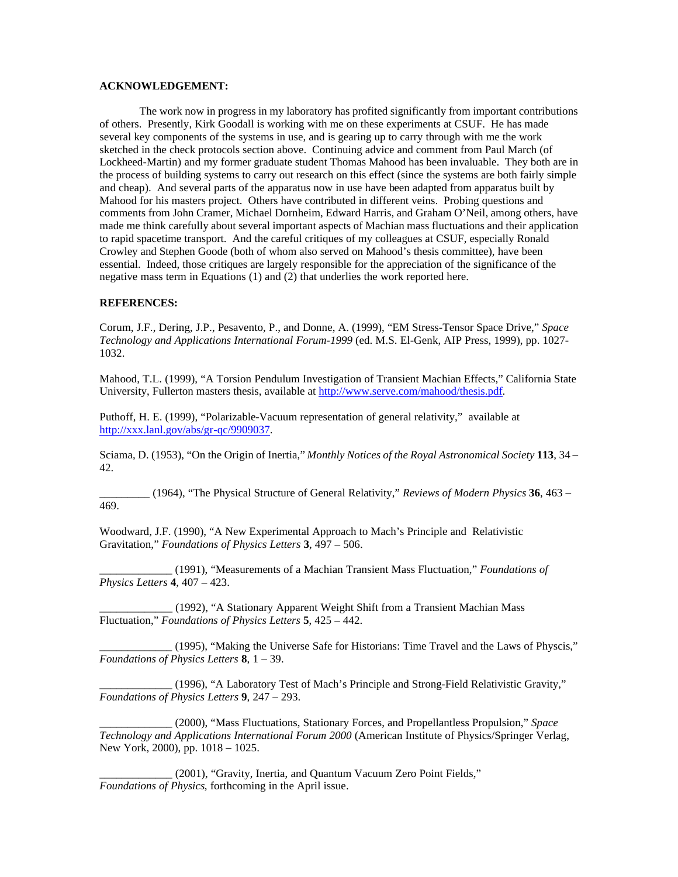## **ACKNOWLEDGEMENT:**

The work now in progress in my laboratory has profited significantly from important contributions of others. Presently, Kirk Goodall is working with me on these experiments at CSUF. He has made several key components of the systems in use, and is gearing up to carry through with me the work sketched in the check protocols section above. Continuing advice and comment from Paul March (of Lockheed-Martin) and my former graduate student Thomas Mahood has been invaluable. They both are in the process of building systems to carry out research on this effect (since the systems are both fairly simple and cheap). And several parts of the apparatus now in use have been adapted from apparatus built by Mahood for his masters project. Others have contributed in different veins. Probing questions and comments from John Cramer, Michael Dornheim, Edward Harris, and Graham O'Neil, among others, have made me think carefully about several important aspects of Machian mass fluctuations and their application to rapid spacetime transport. And the careful critiques of my colleagues at CSUF, especially Ronald Crowley and Stephen Goode (both of whom also served on Mahood's thesis committee), have been essential. Indeed, those critiques are largely responsible for the appreciation of the significance of the negative mass term in Equations (1) and (2) that underlies the work reported here.

# **REFERENCES:**

Corum, J.F., Dering, J.P., Pesavento, P., and Donne, A. (1999), "EM Stress-Tensor Space Drive," *Space Technology and Applications International Forum-1999* (ed. M.S. El-Genk, AIP Press, 1999), pp. 1027- 1032.

Mahood, T.L. (1999), "A Torsion Pendulum Investigation of Transient Machian Effects," California State University, Fullerton masters thesis, available at http://www.serve.com/mahood/thesis.pdf.

Puthoff, H. E. (1999), "Polarizable-Vacuum representation of general relativity," available at http://xxx.lanl.gov/abs/gr-qc/9909037.

Sciama, D. (1953), "On the Origin of Inertia," *Monthly Notices of the Royal Astronomical Society* **113**, 34 – 42.

\_\_\_\_\_\_\_\_\_ (1964), "The Physical Structure of General Relativity," *Reviews of Modern Physics* **36**, 463 – 469.

Woodward, J.F. (1990), "A New Experimental Approach to Mach's Principle and Relativistic Gravitation," *Foundations of Physics Letters* **3**, 497 – 506.

\_\_\_\_\_\_\_\_\_\_\_\_\_ (1991), "Measurements of a Machian Transient Mass Fluctuation," *Foundations of Physics Letters* **4**, 407 – 423.

\_\_\_\_\_\_\_\_\_\_\_\_\_ (1992), "A Stationary Apparent Weight Shift from a Transient Machian Mass Fluctuation," *Foundations of Physics Letters* **5**, 425 – 442.

\_\_\_\_\_\_\_\_\_\_\_\_\_ (1995), "Making the Universe Safe for Historians: Time Travel and the Laws of Physcis," *Foundations of Physics Letters* **8**, 1 – 39.

\_\_\_\_\_\_\_\_\_\_\_\_\_ (1996), "A Laboratory Test of Mach's Principle and Strong-Field Relativistic Gravity," *Foundations of Physics Letters* **9**, 247 – 293.

\_\_\_\_\_\_\_\_\_\_\_\_\_ (2000), "Mass Fluctuations, Stationary Forces, and Propellantless Propulsion," *Space Technology and Applications International Forum 2000* (American Institute of Physics/Springer Verlag, New York, 2000), pp. 1018 – 1025.

(2001), "Gravity, Inertia, and Quantum Vacuum Zero Point Fields," *Foundations of Physics*, forthcoming in the April issue.